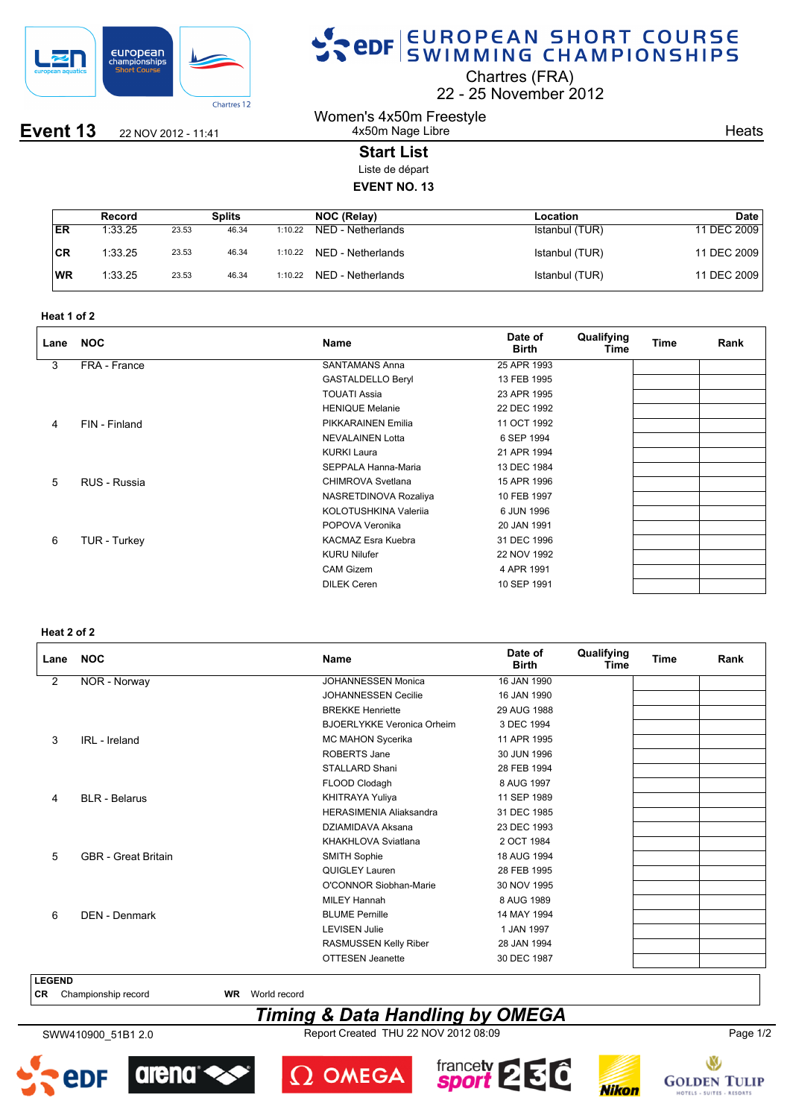

**Event 13** 22 NOV 2012 - 11:41

# SPOR EUROPEAN SHORT COURSE

Chartres (FRA)

22 25 November 2012

Women's 4x50m Freestyle 4x50m Nage Libre

**Heats** 

## **Start List**

Liste de départ

### **EVENT NO. 13**

|           | Record  |       | Splits |         | NOC (Relay)       | Location       | <b>Date</b> |
|-----------|---------|-------|--------|---------|-------------------|----------------|-------------|
| ER        | 1:33.25 | 23.53 | 46.34  | 1:10.22 | NED - Netherlands | Istanbul (TUR) | 11 DEC 2009 |
| ∣CR       | 1:33.25 | 23.53 | 46.34  | 1:10.22 | NED - Netherlands | Istanbul (TUR) | 11 DEC 2009 |
| <b>WR</b> | 1:33.25 | 23.53 | 46.34  | 1:10.22 | NED - Netherlands | Istanbul (TUR) | 11 DEC 2009 |

| Heat 1 of 2 |  |
|-------------|--|
|-------------|--|

| Lane | <b>NOC</b>    | <b>Name</b>               | Date of<br><b>Birth</b> | Qualifying<br>Time | <b>Time</b> | Rank |
|------|---------------|---------------------------|-------------------------|--------------------|-------------|------|
| 3    | FRA - France  | <b>SANTAMANS Anna</b>     | 25 APR 1993             |                    |             |      |
|      |               | <b>GASTALDELLO Beryl</b>  | 13 FEB 1995             |                    |             |      |
|      |               | <b>TOUATI Assia</b>       | 23 APR 1995             |                    |             |      |
|      |               | <b>HENIQUE Melanie</b>    | 22 DEC 1992             |                    |             |      |
| 4    | FIN - Finland | PIKKARAINEN Emilia        | 11 OCT 1992             |                    |             |      |
|      |               | <b>NEVALAINEN Lotta</b>   | 6 SEP 1994              |                    |             |      |
|      |               | <b>KURKI Laura</b>        | 21 APR 1994             |                    |             |      |
|      |               | SEPPALA Hanna-Maria       | 13 DEC 1984             |                    |             |      |
| 5    | RUS - Russia  | CHIMROVA Svetlana         | 15 APR 1996             |                    |             |      |
|      |               | NASRETDINOVA Rozaliya     | 10 FEB 1997             |                    |             |      |
|      |               | KOLOTUSHKINA Valerija     | 6 JUN 1996              |                    |             |      |
|      |               | POPOVA Veronika           | 20 JAN 1991             |                    |             |      |
| 6    | TUR - Turkey  | <b>KACMAZ Esra Kuebra</b> | 31 DEC 1996             |                    |             |      |
|      |               | <b>KURU Nilufer</b>       | 22 NOV 1992             |                    |             |      |
|      |               | <b>CAM Gizem</b>          | 4 APR 1991              |                    |             |      |
|      |               | <b>DILEK Ceren</b>        | 10 SEP 1991             |                    |             |      |

#### **Heat 2 of 2**

| Lane           | <b>NOC</b>                 | <b>Name</b>                       | Date of<br><b>Birth</b> | Qualifying<br>Time | <b>Time</b> | Rank |
|----------------|----------------------------|-----------------------------------|-------------------------|--------------------|-------------|------|
| $\overline{2}$ | NOR - Norway               | <b>JOHANNESSEN Monica</b>         | 16 JAN 1990             |                    |             |      |
|                |                            | <b>JOHANNESSEN Cecilie</b>        | 16 JAN 1990             |                    |             |      |
|                |                            | <b>BREKKE Henriette</b>           | 29 AUG 1988             |                    |             |      |
|                |                            | <b>BJOERLYKKE Veronica Orheim</b> | 3 DEC 1994              |                    |             |      |
| 3              | IRL - Ireland              | MC MAHON Sycerika                 | 11 APR 1995             |                    |             |      |
|                |                            | ROBERTS Jane                      | 30 JUN 1996             |                    |             |      |
|                |                            | <b>STALLARD Shani</b>             | 28 FEB 1994             |                    |             |      |
|                |                            | FLOOD Clodagh                     | 8 AUG 1997              |                    |             |      |
| 4              | <b>BLR</b> - Belarus       | KHITRAYA Yuliya                   | 11 SEP 1989             |                    |             |      |
|                |                            | <b>HERASIMENIA Aliaksandra</b>    | 31 DEC 1985             |                    |             |      |
|                |                            | DZIAMIDAVA Aksana                 | 23 DEC 1993             |                    |             |      |
|                |                            | KHAKHLOVA Sviatlana               | 2 OCT 1984              |                    |             |      |
| 5              | <b>GBR</b> - Great Britain | SMITH Sophie                      | 18 AUG 1994             |                    |             |      |
|                |                            | <b>QUIGLEY Lauren</b>             | 28 FEB 1995             |                    |             |      |
|                |                            | O'CONNOR Siobhan-Marie            | 30 NOV 1995             |                    |             |      |
|                |                            | <b>MILEY Hannah</b>               | 8 AUG 1989              |                    |             |      |
| 6              | DEN - Denmark              | <b>BLUME Pernille</b>             | 14 MAY 1994             |                    |             |      |
|                |                            | <b>LEVISEN Julie</b>              | 1 JAN 1997              |                    |             |      |
|                |                            | RASMUSSEN Kelly Riber             | 28 JAN 1994             |                    |             |      |
|                |                            | <b>OTTESEN Jeanette</b>           | 30 DEC 1987             |                    |             |      |
| <b>LEGEND</b>  |                            |                                   |                         |                    |             |      |

**CR** Championship record **WR** World record

### *Timing & Data Handling by OMEGA*

SWW410900\_51B1 2.0 Report Created THU 22 NOV 2012 08:09 Page 1/2